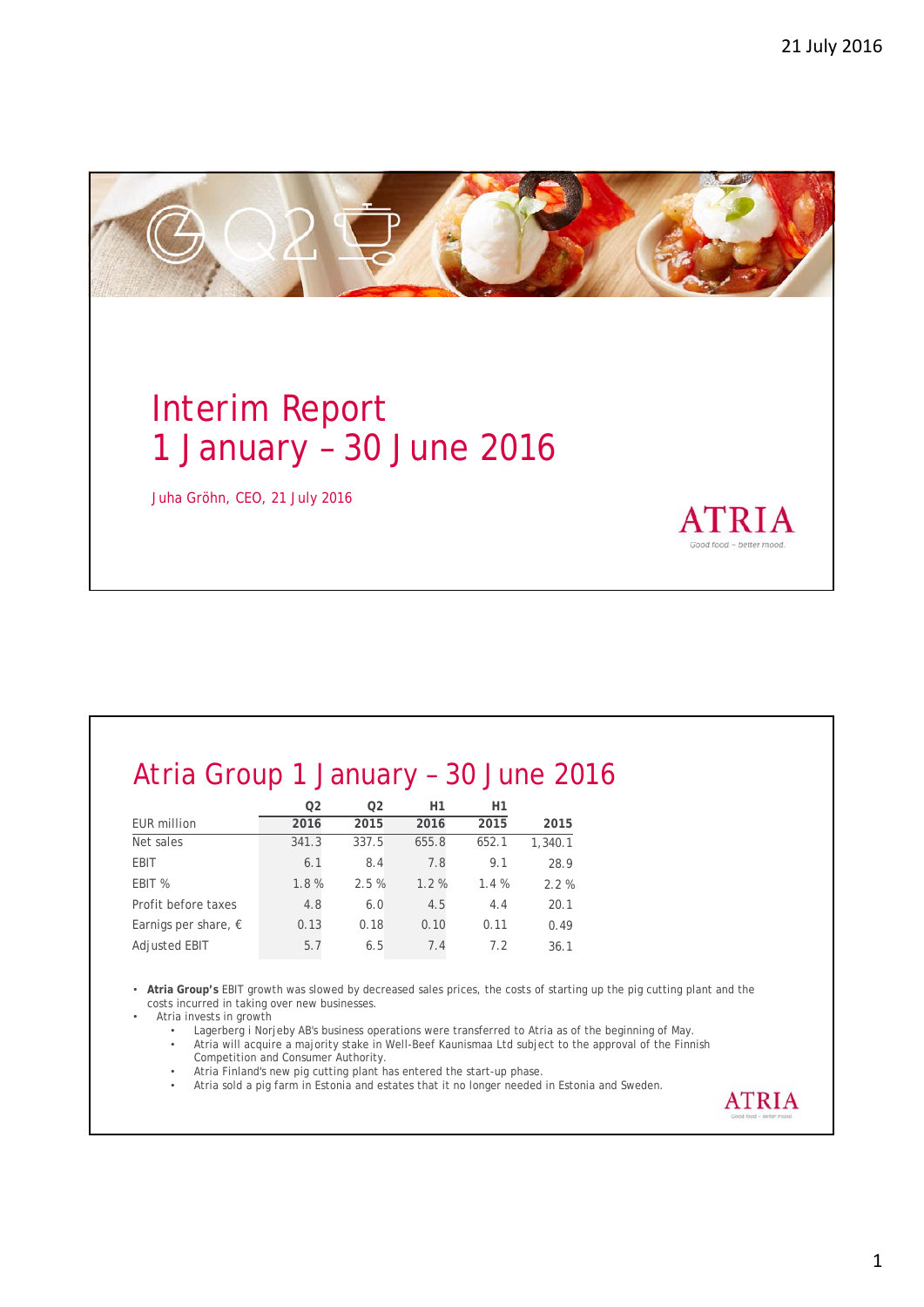

# Atria Group 1 January – 30 June 2016

| O <sub>2</sub> | 02    | H1    | H1    |                |
|----------------|-------|-------|-------|----------------|
| 2016           | 2015  | 2016  | 2015  | 2015           |
| 341.3          | 337.5 | 655.8 | 652.1 | 1,340.1        |
| 6.1            | 8.4   |       | 9.1   | 28.9           |
| 1.8%           | 2.5%  |       | 1.4%  | 2.2%           |
| 4.8            | 6.0   | 4.5   | 4.4   | 20.1           |
| 0.13           | 0.18  | 0.10  | 0.11  | 0.49           |
| 5.7            | 6.5   | 7.4   | 7.2   | 36.1           |
|                |       |       |       | 7.8<br>$1.2\%$ |

• **Atria Group's** EBIT growth was slowed by decreased sales prices, the costs of starting up the pig cutting plant and the costs incurred in taking over new businesses.

Atria invests in growth

- Lagerberg i Norjeby AB's business operations were transferred to Atria as of the beginning of May.
- Atria will acquire a majority stake in Well-Beef Kaunismaa Ltd subject to the approval of the Finnish Competition and Consumer Authority.
- Atria Finland's new pig cutting plant has entered the start-up phase.
- Atria sold a pig farm in Estonia and estates that it no longer needed in Estonia and Sweden.

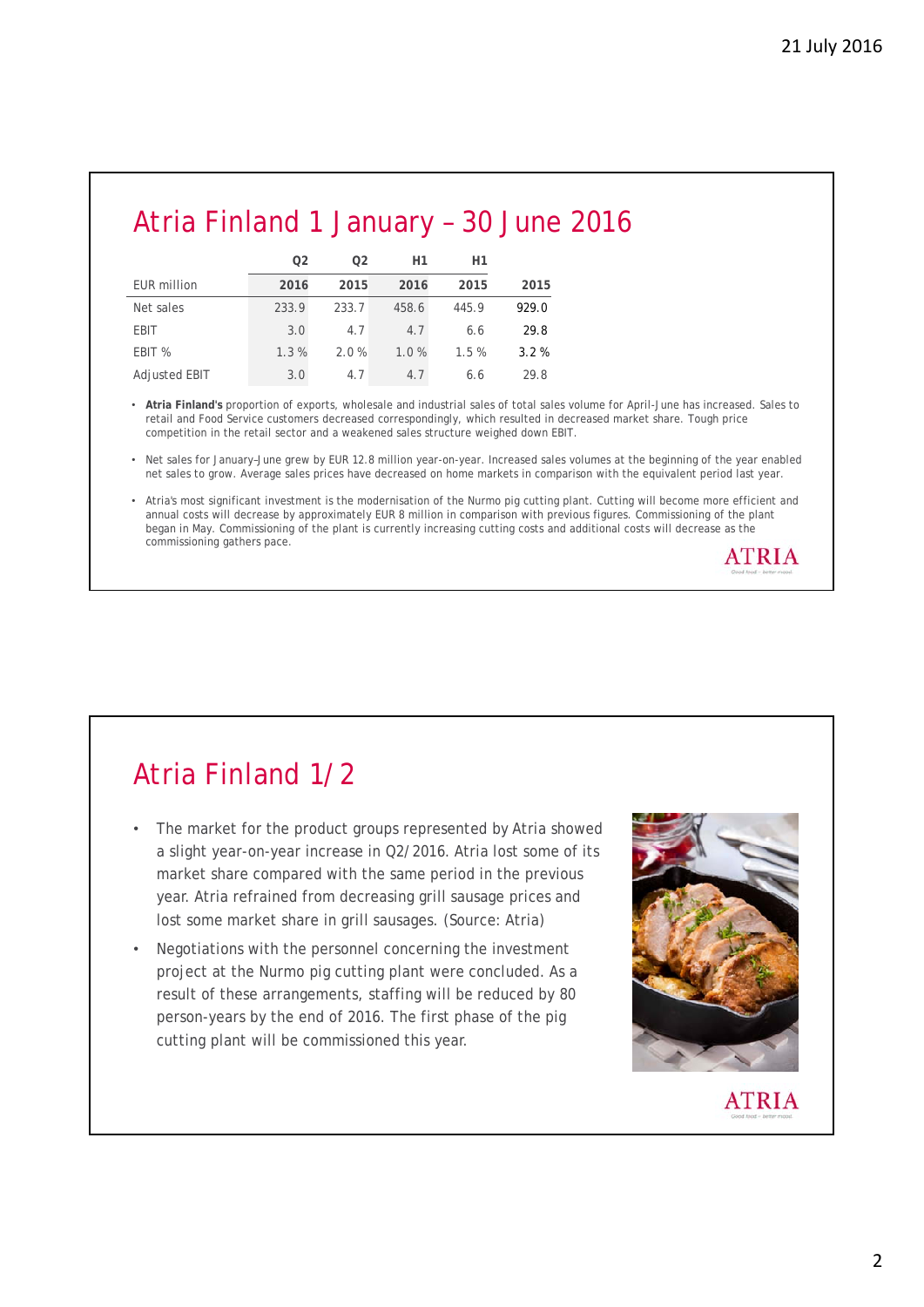## Atria Finland 1 January – 30 June 2016

|                    | Q2    | 02    | H1    | H1    |         |
|--------------------|-------|-------|-------|-------|---------|
| <b>EUR million</b> | 2016  | 2015  | 2016  | 2015  | 2015    |
| Net sales          | 233.9 | 233.7 | 458.6 | 445.9 | 929.0   |
| <b>EBIT</b>        | 3.0   | 4.7   | 4.7   | 6.6   | 29.8    |
| EBIT %             | 1.3%  | 2.0%  | 1.0%  | 1.5%  | $3.2\%$ |
| Adjusted EBIT      | 3.0   | 4.7   | 4.7   | 6.6   | 29.8    |

• **Atria Finland's** proportion of exports, wholesale and industrial sales of total sales volume for April-June has increased. Sales to retail and Food Service customers decreased correspondingly, which resulted in decreased market share. Tough price competition in the retail sector and a weakened sales structure weighed down EBIT.

• Net sales for January–June grew by EUR 12.8 million year-on-year. Increased sales volumes at the beginning of the year enabled net sales to grow. Average sales prices have decreased on home markets in comparison with the equivalent period last year.

• Atria's most significant investment is the modernisation of the Nurmo pig cutting plant. Cutting will become more efficient and annual costs will decrease by approximately EUR 8 million in comparison with previous figures. Commissioning of the plant began in May. Commissioning of the plant is currently increasing cutting costs and additional costs will decrease as the commissioning gathers pace.



# Atria Finland 1/2

- The market for the product groups represented by Atria showed a slight year-on-year increase in Q2/2016. Atria lost some of its market share compared with the same period in the previous year. Atria refrained from decreasing grill sausage prices and lost some market share in grill sausages. (Source: Atria)
- Negotiations with the personnel concerning the investment project at the Nurmo pig cutting plant were concluded. As a result of these arrangements, staffing will be reduced by 80 person-years by the end of 2016. The first phase of the pig cutting plant will be commissioned this year.

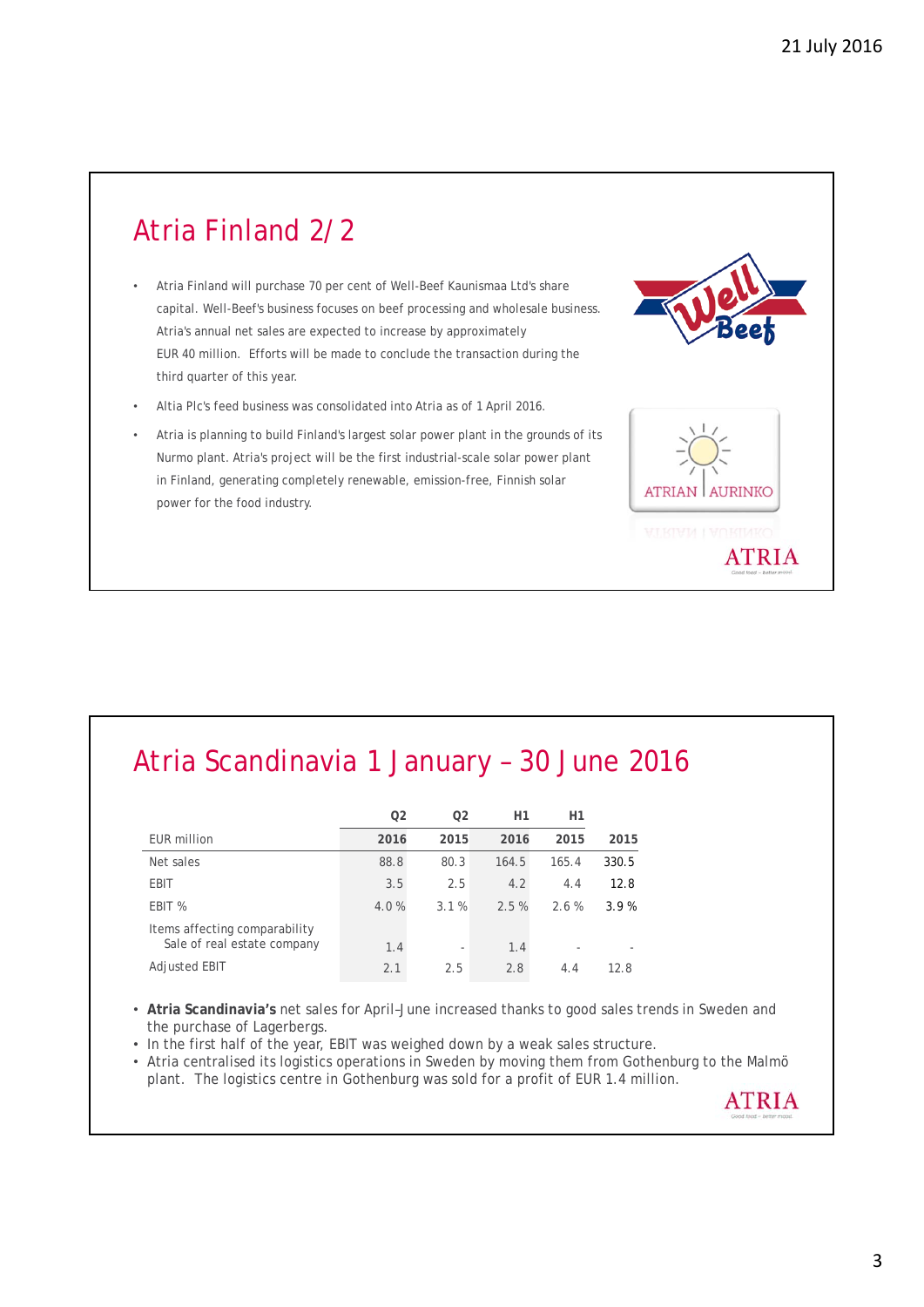# Atria Finland 2/2

- Atria Finland will purchase 70 per cent of Well-Beef Kaunismaa Ltd's share capital. Well-Beef's business focuses on beef processing and wholesale business. Atria's annual net sales are expected to increase by approximately EUR 40 million. Efforts will be made to conclude the transaction during the third quarter of this year.
- Altia Plc's feed business was consolidated into Atria as of 1 April 2016.
- Atria is planning to build Finland's largest solar power plant in the grounds of its Nurmo plant. Atria's project will be the first industrial-scale solar power plant in Finland, generating completely renewable, emission-free, Finnish solar power for the food industry.

## Atria Scandinavia 1 January – 30 June 2016

|                               | 02   | 02   | H1    | H1                       |       |
|-------------------------------|------|------|-------|--------------------------|-------|
| <b>EUR</b> million            | 2016 | 2015 | 2016  | 2015                     | 2015  |
| Net sales                     | 88.8 | 80.3 | 164.5 | 165.4                    | 330.5 |
| EBIT                          | 3.5  | 2.5  | 4.2   | 4.4                      | 12.8  |
| EBIT %                        | 4.0% | 3.1% | 2.5%  | 2.6%                     | 3.9%  |
| Items affecting comparability |      |      |       |                          |       |
| Sale of real estate company   | 1.4  | ٠    | 1.4   | $\overline{\phantom{a}}$ |       |
| Adjusted EBIT                 | 2.1  | 2.5  | 2.8   | 4.4                      | 12.8  |

• **Atria Scandinavia's** net sales for April–June increased thanks to good sales trends in Sweden and the purchase of Lagerbergs.

• In the first half of the year, EBIT was weighed down by a weak sales structure.

• Atria centralised its logistics operations in Sweden by moving them from Gothenburg to the Malmö plant. The logistics centre in Gothenburg was sold for a profit of EUR 1.4 million.



**ATRIAN | AURINKO** 

**ATRIA**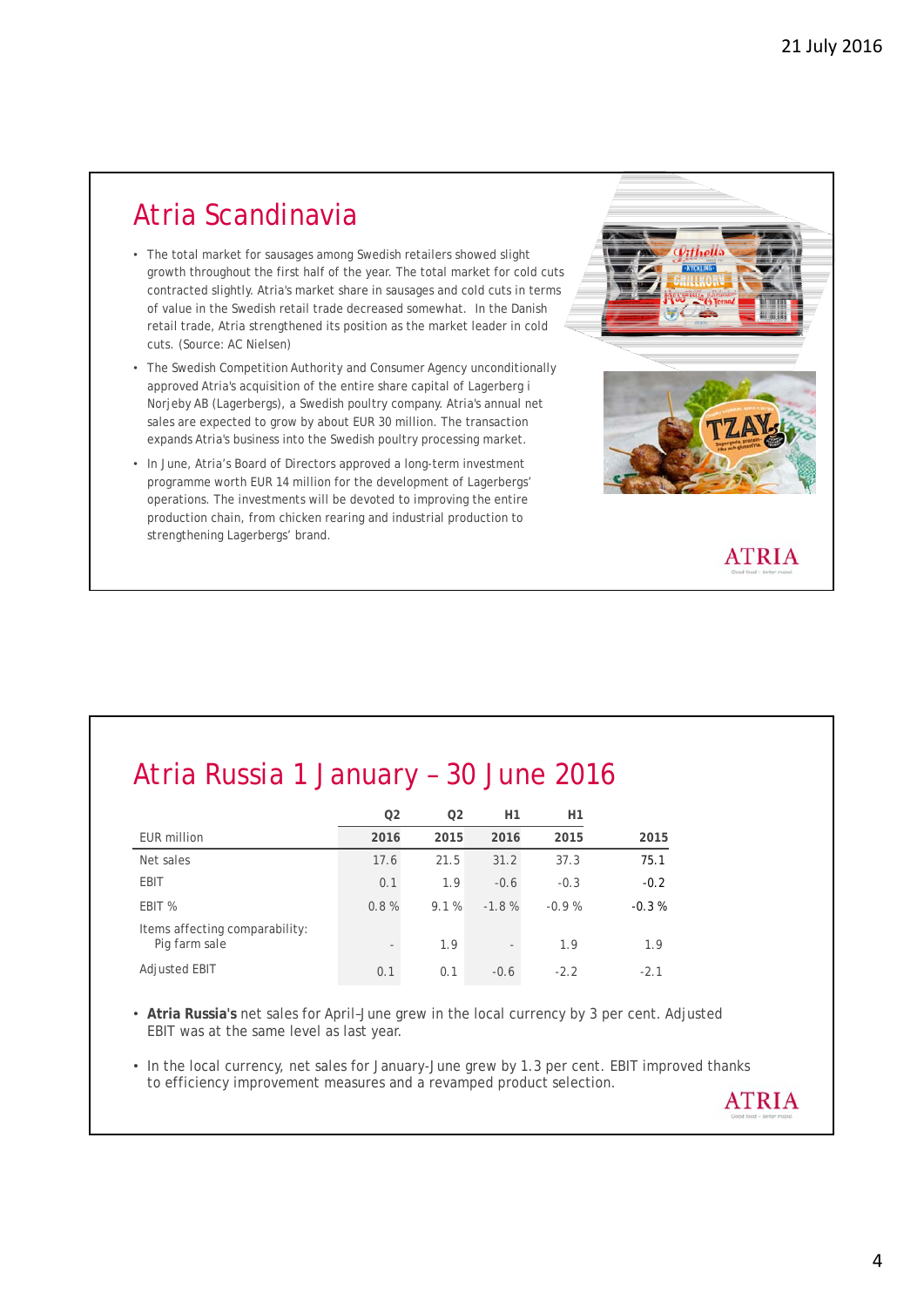#### Atria Scandinavia

- The total market for sausages among Swedish retailers showed slight growth throughout the first half of the year. The total market for cold cuts contracted slightly. Atria's market share in sausages and cold cuts in terms of value in the Swedish retail trade decreased somewhat. In the Danish retail trade, Atria strengthened its position as the market leader in cold cuts. (Source: AC Nielsen)
- The Swedish Competition Authority and Consumer Agency unconditionally approved Atria's acquisition of the entire share capital of Lagerberg i Norjeby AB (Lagerbergs), a Swedish poultry company. Atria's annual net sales are expected to grow by about EUR 30 million. The transaction expands Atria's business into the Swedish poultry processing market.
- In June, Atria's Board of Directors approved a long-term investment programme worth EUR 14 million for the development of Lagerbergs' operations. The investments will be devoted to improving the entire production chain, from chicken rearing and industrial production to strengthening Lagerbergs' brand.



## Atria Russia 1 January – 30 June 2016

|                                                 | Q <sub>2</sub>           | 02   | H1                       | H1      |         |
|-------------------------------------------------|--------------------------|------|--------------------------|---------|---------|
| <b>EUR million</b>                              | 2016                     | 2015 | 2016                     | 2015    | 2015    |
| Net sales                                       | 17.6                     | 21.5 | 31.2                     | 37.3    | 75.1    |
| <b>EBIT</b>                                     | 0.1                      | 1.9  | $-0.6$                   | $-0.3$  | $-0.2$  |
| EBIT %                                          | 0.8%                     | 9.1% | $-1.8%$                  | $-0.9%$ | $-0.3%$ |
| Items affecting comparability:<br>Pig farm sale | $\overline{\phantom{a}}$ | 1.9  | $\overline{\phantom{a}}$ | 1.9     | 1.9     |
| <b>Adjusted EBIT</b>                            | 0.1                      | 0.1  | $-0.6$                   | $-2.2$  | $-2.1$  |

- **Atria Russia's** net sales for April–June grew in the local currency by 3 per cent. Adjusted EBIT was at the same level as last year.
- In the local currency, net sales for January-June grew by 1.3 per cent. EBIT improved thanks to efficiency improvement measures and a revamped product selection. **ATRIA**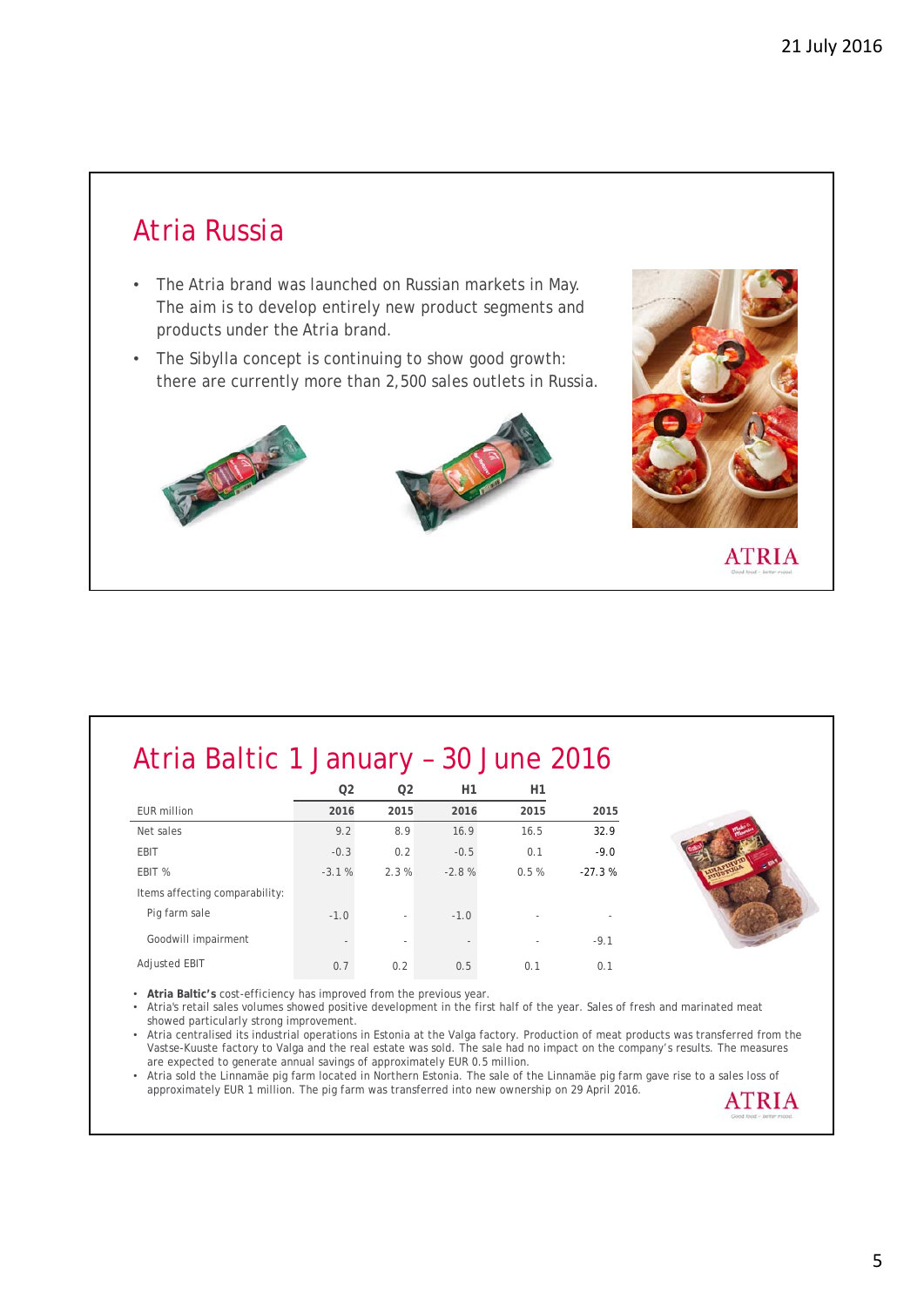#### Atria Russia

- The Atria brand was launched on Russian markets in May. The aim is to develop entirely new product segments and products under the Atria brand.
- The Sibylla concept is continuing to show good growth: there are currently more than 2,500 sales outlets in Russia.





**ATRIA** 

### Atria Baltic 1 January – 30 June 2016

|                                | Q <sub>2</sub> | Q <sub>2</sub>           | H1                       | H1                       |          |
|--------------------------------|----------------|--------------------------|--------------------------|--------------------------|----------|
| EUR million                    | 2016           | 2015                     | 2016                     | 2015                     | 2015     |
| Net sales                      | 9.2            | 8.9                      | 16.9                     | 16.5                     | 32.9     |
| <b>EBIT</b>                    | $-0.3$         | 0.2                      | $-0.5$                   | 0.1                      | $-9.0$   |
| EBIT %                         | $-3.1%$        | 2.3%                     | $-2.8%$                  | 0.5%                     | $-27.3%$ |
| Items affecting comparability: |                |                          |                          |                          |          |
| Pig farm sale                  | $-1.0$         | $\overline{\phantom{a}}$ | $-1.0$                   | $\overline{\phantom{a}}$ |          |
| Goodwill impairment            | ۰              | $\overline{\phantom{a}}$ | $\overline{\phantom{a}}$ | $\overline{\phantom{a}}$ | $-9.1$   |
| Adjusted EBIT                  | 0.7            | 0.2                      | 0.5                      | 0.1                      | 0.1      |



• **Atria Baltic's** cost-efficiency has improved from the previous year.

• Atria's retail sales volumes showed positive development in the first half of the year. Sales of fresh and marinated meat showed particularly strong improvement.

• Atria centralised its industrial operations in Estonia at the Valga factory. Production of meat products was transferred from the Vastse-Kuuste factory to Valga and the real estate was sold. The sale had no impact on the company's results. The measures are expected to generate annual savings of approximately EUR 0.5 million.

• Atria sold the Linnamäe pig farm located in Northern Estonia. The sale of the Linnamäe pig farm gave rise to a sales loss of approximately EUR 1 million. The pig farm was transferred into new ownership on 29 April 2016.

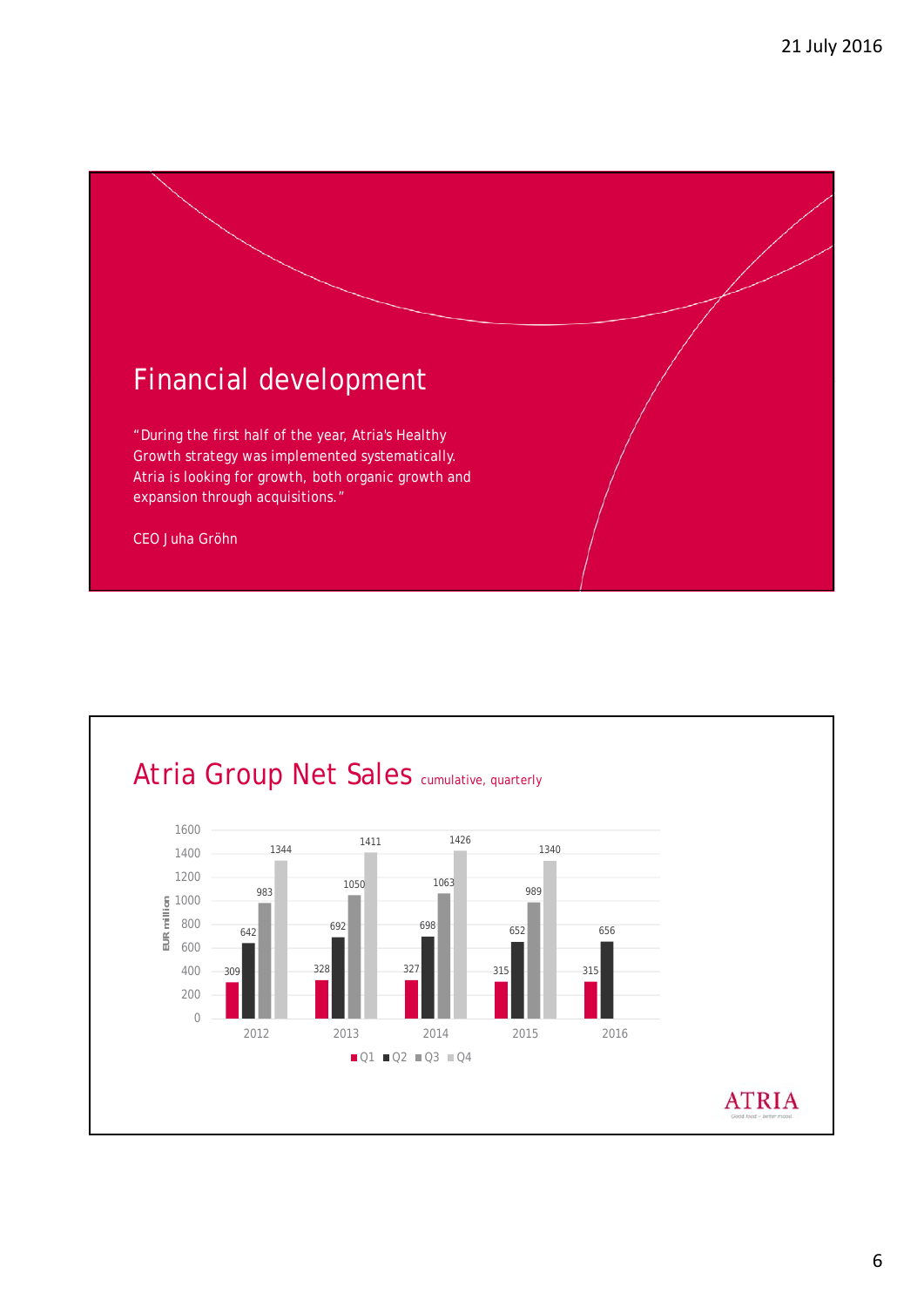

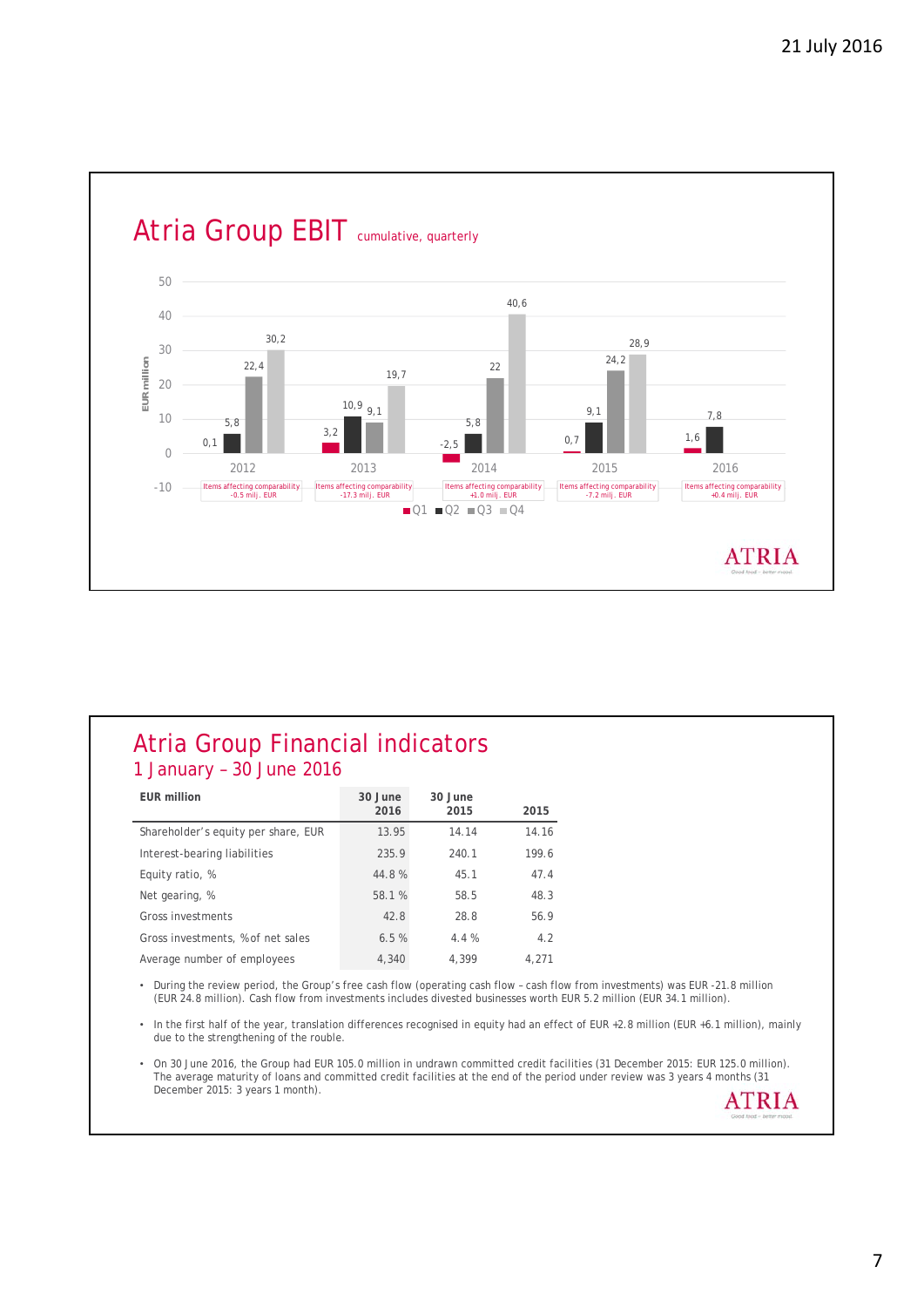

#### Atria Group Financial indicators 1 January – 30 June 2016

| <b>EUR million</b>                  | 30 June<br>2016 | 30 June<br>2015 | 2015  |
|-------------------------------------|-----------------|-----------------|-------|
| Shareholder's equity per share, EUR | 13.95           | 14.14           | 14.16 |
| Interest-bearing liabilities        | 235.9           | 240.1           | 199.6 |
| Equity ratio, %                     | 44.8%           | 45.1            | 47.4  |
| Net gearing, %                      | 58.1%           | 58.5            | 48.3  |
| Gross investments                   | 42.8            | 28.8            | 56.9  |
| Gross investments, % of net sales   | 6.5%            | 4.4 %           | 4.2   |
| Average number of employees         | 4,340           | 4.399           | 4.271 |

• During the review period, the Group's free cash flow (operating cash flow – cash flow from investments) was EUR -21.8 million (EUR 24.8 million). Cash flow from investments includes divested businesses worth EUR 5.2 million (EUR 34.1 million).

• In the first half of the year, translation differences recognised in equity had an effect of EUR +2.8 million (EUR +6.1 million), mainly due to the strengthening of the rouble.

• On 30 June 2016, the Group had EUR 105.0 million in undrawn committed credit facilities (31 December 2015: EUR 125.0 million). The average maturity of loans and committed credit facilities at the end of the period under review was 3 years 4 months (31 December 2015: 3 years 1 month). **ATRIA**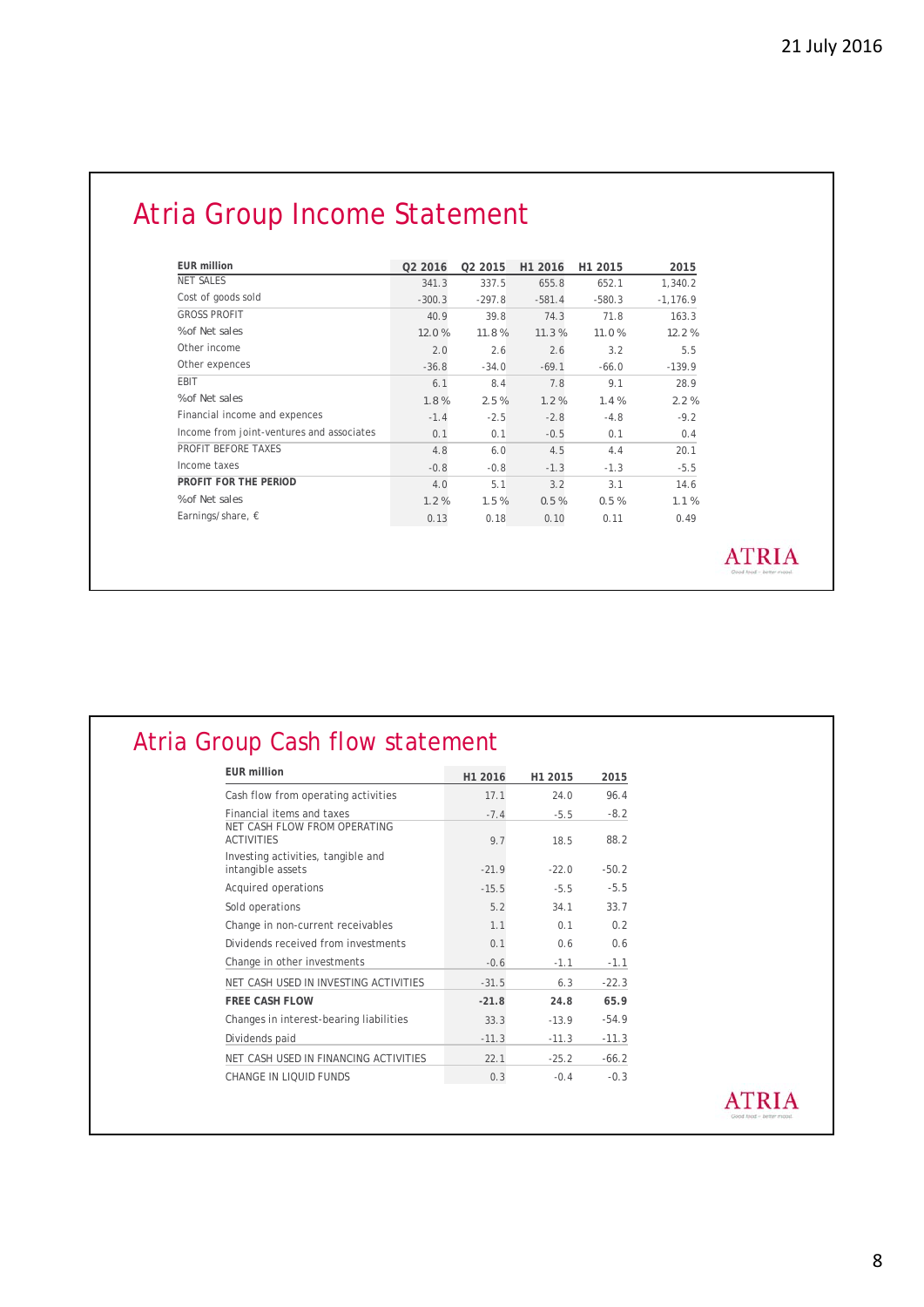# Atria Group Income Statement

| <b>EUR million</b>                        | Q2 2016  | Q2 2015  | H1 2016  | H1 2015  | 2015        |
|-------------------------------------------|----------|----------|----------|----------|-------------|
| <b>NET SALES</b>                          | 341.3    | 337.5    | 655.8    | 652.1    | 1.340.2     |
| Cost of goods sold                        | $-300.3$ | $-297.8$ | $-581.4$ | $-580.3$ | $-1, 176.9$ |
| <b>GROSS PROFIT</b>                       | 40.9     | 39.8     | 74.3     | 71.8     | 163.3       |
| % of Net sales                            | 12.0%    | 11.8%    | 11.3%    | 11.0%    | 12.2%       |
| Other income                              | 2.0      | 2.6      | 2.6      | 3.2      | 5.5         |
| Other expences                            | $-36.8$  | $-34.0$  | $-69.1$  | $-66.0$  | $-139.9$    |
| EBIT                                      | 6.1      | 8.4      | 7.8      | 9.1      | 28.9        |
| % of Net sales                            | 1.8%     | 2.5%     | 1.2%     | 1.4%     | 2.2%        |
| Financial income and expences             | $-1.4$   | $-2.5$   | $-2.8$   | $-4.8$   | $-9.2$      |
| Income from joint-ventures and associates | 0.1      | 0.1      | $-0.5$   | 0.1      | 0.4         |
| PROFIT BEFORE TAXES                       | 4.8      | 6.0      | 4.5      | 4.4      | 20.1        |
| Income taxes                              | $-0.8$   | $-0.8$   | $-1.3$   | $-1.3$   | $-5.5$      |
| PROFIT FOR THE PERIOD                     | 4.0      | 5.1      | 3.2      | 3.1      | 14.6        |
| % of Net sales                            | 1.2%     | 1.5%     | 0.5%     | 0.5%     | 1.1%        |
| Earnings/share, $\epsilon$                | 0.13     | 0.18     | 0.10     | 0.11     | 0.49        |

**ATRIA** 

#### Atria Group Cash flow statement

| <b>EUR million</b>                                      | H1 2016 | H1 2015 | 2015    |
|---------------------------------------------------------|---------|---------|---------|
| Cash flow from operating activities                     | 17.1    | 24.0    | 96.4    |
| Financial items and taxes                               | $-7.4$  | $-5.5$  | $-8.2$  |
| NET CASH FLOW FROM OPERATING<br><b>ACTIVITIES</b>       | 9.7     | 18.5    | 88.2    |
| Investing activities, tangible and<br>intangible assets | $-21.9$ | $-22.0$ | $-50.2$ |
| Acquired operations                                     | $-15.5$ | $-5.5$  | $-5.5$  |
| Sold operations                                         | 5.2     | 34 1    | 33.7    |
| Change in non-current receivables                       | 1.1     | 0.1     | 0.2     |
| Dividends received from investments                     | 0.1     | 0.6     | 0.6     |
| Change in other investments                             | $-0.6$  | $-1.1$  | $-1.1$  |
| NET CASH USED IN INVESTING ACTIVITIES                   | $-31.5$ | 6.3     | $-22.3$ |
| <b>FREE CASH FLOW</b>                                   | $-21.8$ | 24.8    | 65.9    |
| Changes in interest-bearing liabilities                 | 33.3    | $-13.9$ | $-54.9$ |
| Dividends paid                                          | $-11.3$ | $-11.3$ | $-11.3$ |
| NET CASH USED IN FINANCING ACTIVITIES                   | 22.1    | $-25.2$ | $-66.2$ |
| CHANGE IN LIOUID FUNDS                                  | 0.3     | $-0.4$  | $-0.3$  |

**ATRIA**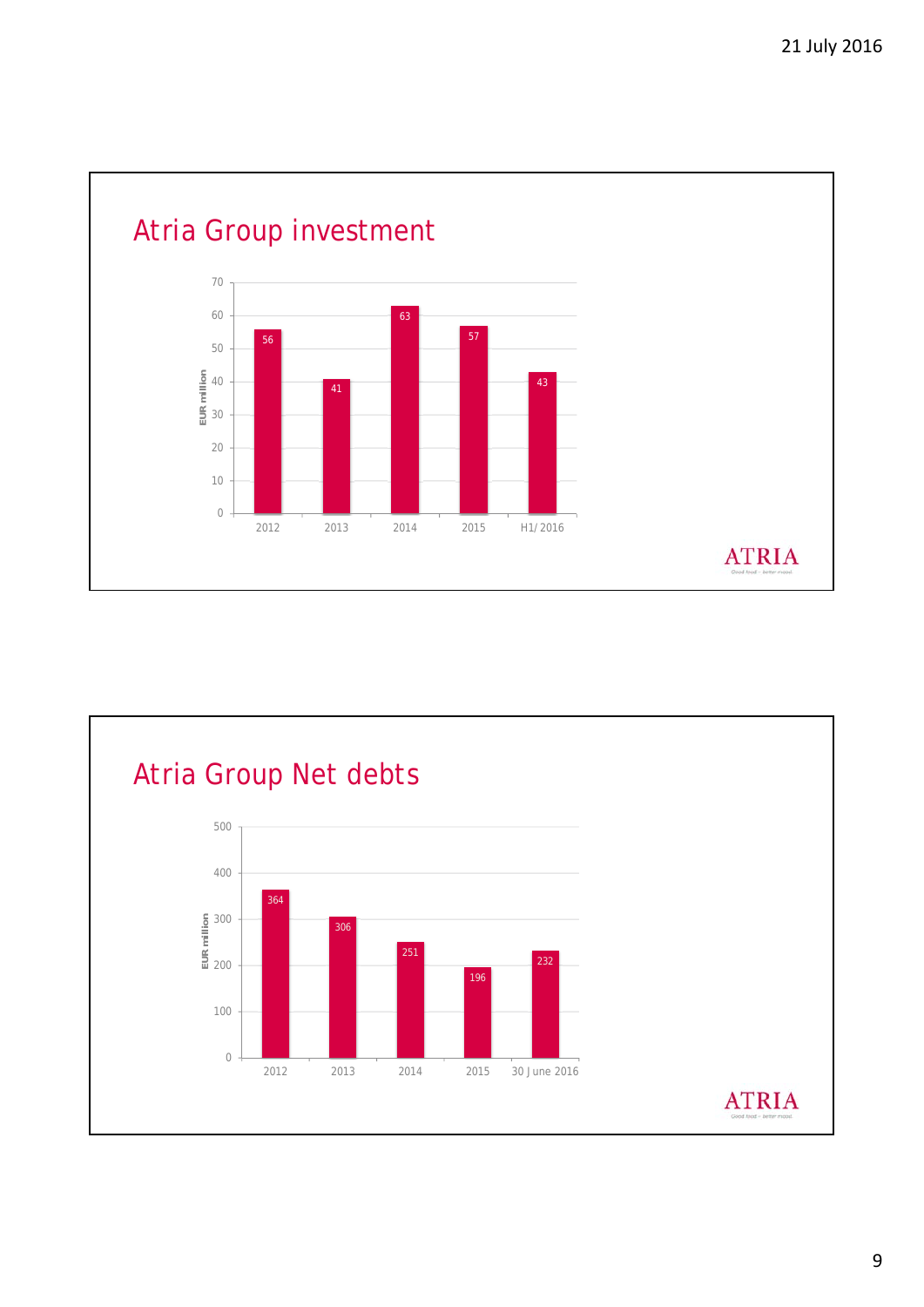

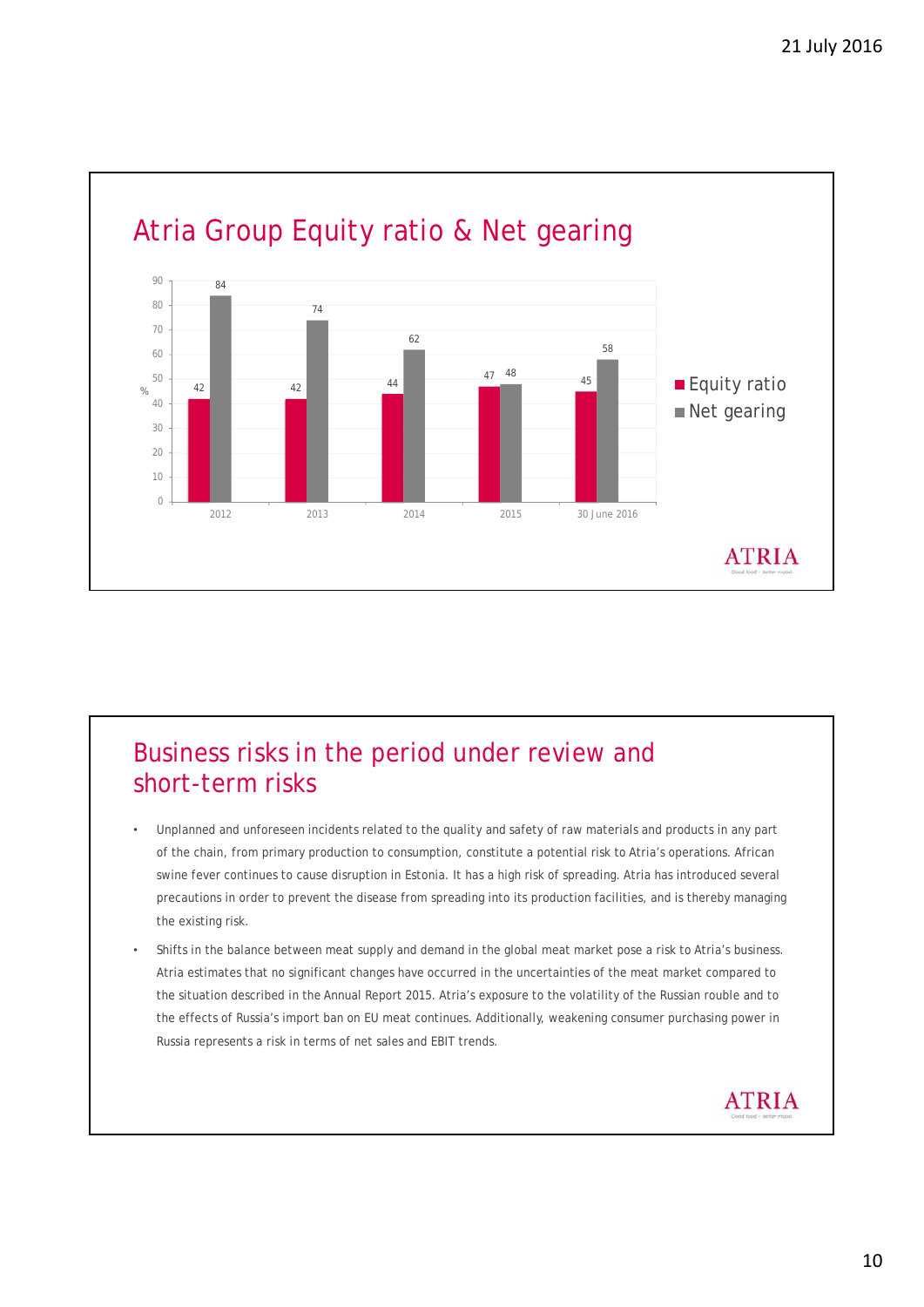

#### Business risks in the period under review and short-term risks

- Unplanned and unforeseen incidents related to the quality and safety of raw materials and products in any part of the chain, from primary production to consumption, constitute a potential risk to Atria's operations. African swine fever continues to cause disruption in Estonia. It has a high risk of spreading. Atria has introduced several precautions in order to prevent the disease from spreading into its production facilities, and is thereby managing the existing risk.
- Shifts in the balance between meat supply and demand in the global meat market pose a risk to Atria's business. Atria estimates that no significant changes have occurred in the uncertainties of the meat market compared to the situation described in the Annual Report 2015. Atria's exposure to the volatility of the Russian rouble and to the effects of Russia's import ban on EU meat continues. Additionally, weakening consumer purchasing power in Russia represents a risk in terms of net sales and EBIT trends.

### **ATRIA**